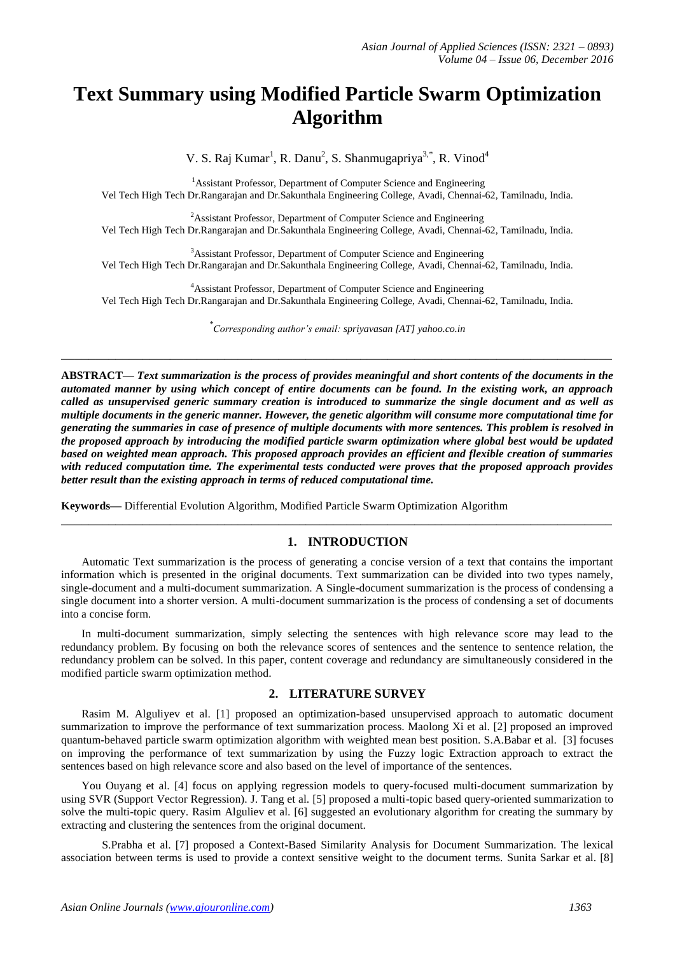# **Text Summary using Modified Particle Swarm Optimization Algorithm**

V. S. Raj Kumar<sup>1</sup>, R. Danu<sup>2</sup>, S. Shanmugapriya<sup>3,\*</sup>, R. Vinod<sup>4</sup>

<sup>1</sup>Assistant Professor, Department of Computer Science and Engineering Vel Tech High Tech Dr.Rangarajan and Dr.Sakunthala Engineering College, Avadi, Chennai-62, Tamilnadu, India.

<sup>2</sup> Assistant Professor, Department of Computer Science and Engineering Vel Tech High Tech Dr.Rangarajan and Dr.Sakunthala Engineering College, Avadi, Chennai-62, Tamilnadu, India.

<sup>3</sup>Assistant Professor, Department of Computer Science and Engineering Vel Tech High Tech Dr.Rangarajan and Dr.Sakunthala Engineering College, Avadi, Chennai-62, Tamilnadu, India.

<sup>4</sup>Assistant Professor, Department of Computer Science and Engineering Vel Tech High Tech Dr.Rangarajan and Dr.Sakunthala Engineering College, Avadi, Chennai-62, Tamilnadu, India.

*\* Corresponding author's email: spriyavasan [AT] yahoo.co.in*

**\_\_\_\_\_\_\_\_\_\_\_\_\_\_\_\_\_\_\_\_\_\_\_\_\_\_\_\_\_\_\_\_\_\_\_\_\_\_\_\_\_\_\_\_\_\_\_\_\_\_\_\_\_\_\_\_\_\_\_\_\_\_\_\_\_\_\_\_\_\_\_\_\_\_\_\_\_\_\_\_\_**

**ABSTRACT—** *Text summarization is the process of provides meaningful and short contents of the documents in the automated manner by using which concept of entire documents can be found. In the existing work, an approach called as unsupervised generic summary creation is introduced to summarize the single document and as well as multiple documents in the generic manner. However, the genetic algorithm will consume more computational time for generating the summaries in case of presence of multiple documents with more sentences. This problem is resolved in the proposed approach by introducing the modified particle swarm optimization where global best would be updated based on weighted mean approach. This proposed approach provides an efficient and flexible creation of summaries with reduced computation time. The experimental tests conducted were proves that the proposed approach provides better result than the existing approach in terms of reduced computational time.*

**Keywords—** Differential Evolution Algorithm, Modified Particle Swarm Optimization Algorithm

## **1. INTRODUCTION**

Automatic Text summarization is the process of generating a concise version of a text that contains the important information which is presented in the original documents. Text summarization can be divided into two types namely, single-document and a multi-document summarization. A Single-document summarization is the process of condensing a single document into a shorter version. A multi-document summarization is the process of condensing a set of documents into a concise form.

**\_\_\_\_\_\_\_\_\_\_\_\_\_\_\_\_\_\_\_\_\_\_\_\_\_\_\_\_\_\_\_\_\_\_\_\_\_\_\_\_\_\_\_\_\_\_\_\_\_\_\_\_\_\_\_\_\_\_\_\_\_\_\_\_\_\_\_\_\_\_\_\_\_\_\_\_\_\_\_\_\_**

In multi-document summarization, simply selecting the sentences with high relevance score may lead to the redundancy problem. By focusing on both the relevance scores of sentences and the sentence to sentence relation, the redundancy problem can be solved. In this paper, content coverage and redundancy are simultaneously considered in the modified particle swarm optimization method.

# **2. LITERATURE SURVEY**

Rasim M. Alguliyev et al. [1] proposed an optimization-based unsupervised approach to automatic document summarization to improve the performance of text summarization process. Maolong Xi et al. [2] proposed an improved quantum-behaved particle swarm optimization algorithm with weighted mean best position. S.A.Babar et al. [3] focuses on improving the performance of text summarization by using the Fuzzy logic Extraction approach to extract the sentences based on high relevance score and also based on the level of importance of the sentences.

You Ouyang et al. [4] focus on applying regression models to query-focused multi-document summarization by using SVR (Support Vector Regression). J. Tang et al. [5] proposed a multi-topic based query-oriented summarization to solve the multi-topic query. Rasim Alguliev et al. [6] suggested an evolutionary algorithm for creating the summary by extracting and clustering the sentences from the original document.

S.Prabha et al. [7] proposed a Context-Based Similarity Analysis for Document Summarization. The lexical association between terms is used to provide a context sensitive weight to the document terms. Sunita Sarkar et al. [8]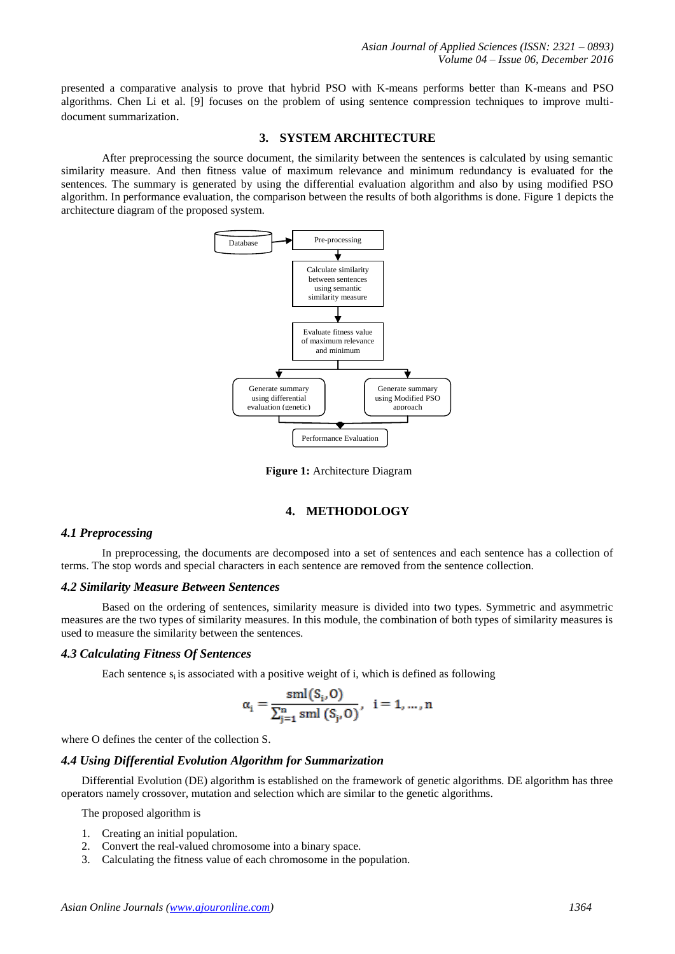presented a comparative analysis to prove that hybrid PSO with K-means performs better than K-means and PSO algorithms. Chen Li et al. [9] focuses on the problem of using sentence compression techniques to improve multidocument summarization.

#### **3. SYSTEM ARCHITECTURE**

After preprocessing the source document, the similarity between the sentences is calculated by using semantic similarity measure. And then fitness value of maximum relevance and minimum redundancy is evaluated for the sentences. The summary is generated by using the differential evaluation algorithm and also by using modified PSO algorithm. In performance evaluation, the comparison between the results of both algorithms is done. Figure 1 depicts the architecture diagram of the proposed system.



**Figure 1:** Architecture Diagram

## **4. METHODOLOGY**

## *4.1 Preprocessing*

In preprocessing, the documents are decomposed into a set of sentences and each sentence has a collection of terms. The stop words and special characters in each sentence are removed from the sentence collection.

#### *4.2 Similarity Measure Between Sentences*

Based on the ordering of sentences, similarity measure is divided into two types. Symmetric and asymmetric measures are the two types of similarity measures. In this module, the combination of both types of similarity measures is used to measure the similarity between the sentences.

## *4.3 Calculating Fitness Of Sentences*

Each sentence  $s_i$  is associated with a positive weight of i, which is defined as following

$$
\alpha_{i} = \frac{\mathrm{sml}(S_{i}, O)}{\sum_{j=1}^{n} \mathrm{sml}(S_{j}, O)}, \quad i = 1, ..., n
$$

where O defines the center of the collection S.

#### *4.4 Using Differential Evolution Algorithm for Summarization*

Differential Evolution (DE) algorithm is established on the framework of genetic algorithms. DE algorithm has three operators namely crossover, mutation and selection which are similar to the genetic algorithms.

The proposed algorithm is

- 1. Creating an initial population.
- 2. Convert the real-valued chromosome into a binary space.
- 3. Calculating the fitness value of each chromosome in the population.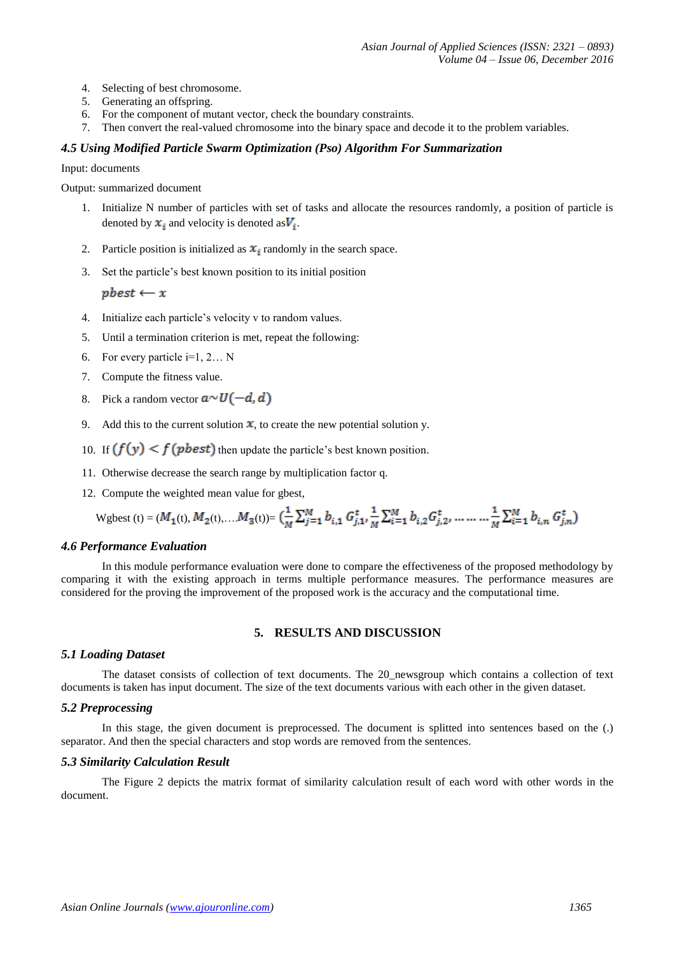- 4. Selecting of best chromosome.
- 5. Generating an offspring.
- 6. For the component of mutant vector, check the boundary constraints.
- 7. Then convert the real-valued chromosome into the binary space and decode it to the problem variables.

## *4.5 Using Modified Particle Swarm Optimization (Pso) Algorithm For Summarization*

Input: documents

Output: summarized document

- 1. Initialize N number of particles with set of tasks and allocate the resources randomly, a position of particle is denoted by  $x_i$  and velocity is denoted as  $V_i$ .
- 2. Particle position is initialized as  $x_i$  randomly in the search space.
- 3. Set the particle's best known position to its initial position

 $pbest \leftarrow x$ 

- 4. Initialize each particle's velocity v to random values.
- 5. Until a termination criterion is met, repeat the following:
- 6. For every particle  $i=1, 2...$  N
- 7. Compute the fitness value.
- 8. Pick a random vector  $a \sim U(-d, d)$
- 9. Add this to the current solution  $\mathbf x$ , to create the new potential solution y.
- 10. If  $(f(y) < f(pbest)$  then update the particle's best known position.
- 11. Otherwise decrease the search range by multiplication factor q.
- 12. Compute the weighted mean value for gbest,

Wgbest (t) =  $(M_1(t), M_2(t), \ldots M_3(t)) = \left(\frac{1}{M} \sum_{j=1}^{M} b_{i,1} G_{j,1}, \frac{1}{M} \sum_{i=1}^{M} b_{i,2} G_{j,2}, \ldots \ldots \ldots \frac{1}{M} \sum_{i=1}^{M} b_{i,n} G_{j,n}^t\right)$ 

#### *4.6 Performance Evaluation*

In this module performance evaluation were done to compare the effectiveness of the proposed methodology by comparing it with the existing approach in terms multiple performance measures. The performance measures are considered for the proving the improvement of the proposed work is the accuracy and the computational time.

## **5. RESULTS AND DISCUSSION**

#### *5.1 Loading Dataset*

The dataset consists of collection of text documents. The 20 newsgroup which contains a collection of text documents is taken has input document. The size of the text documents various with each other in the given dataset.

## *5.2 Preprocessing*

In this stage, the given document is preprocessed. The document is splitted into sentences based on the (.) separator. And then the special characters and stop words are removed from the sentences.

## *5.3 Similarity Calculation Result*

The Figure 2 depicts the matrix format of similarity calculation result of each word with other words in the document.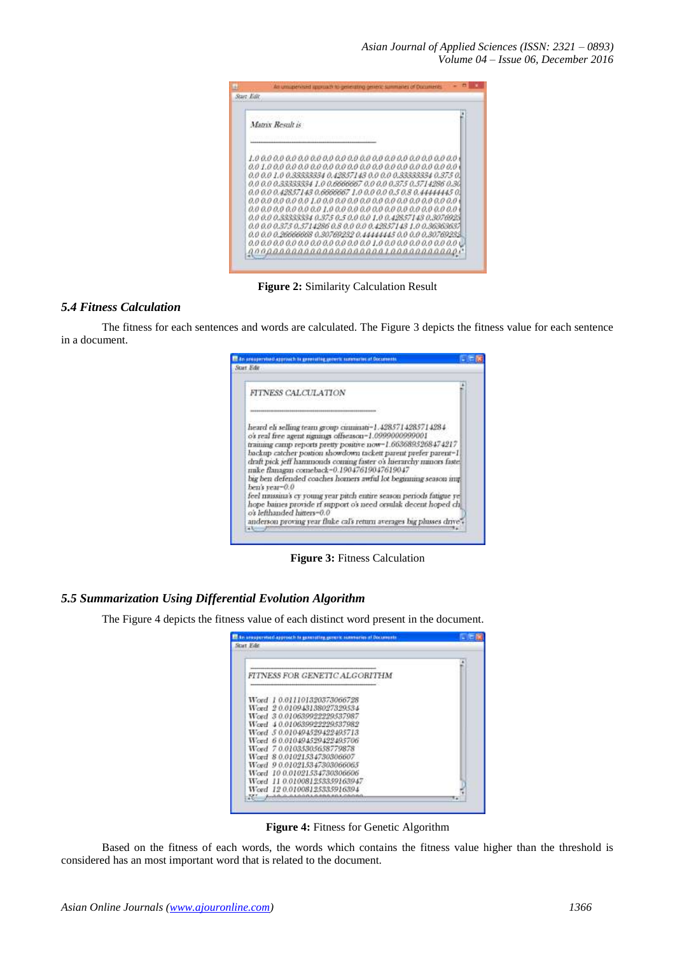*Asian Journal of Applied Sciences (ISSN: 2321 – 0893) Volume 04 – Issue 06, December 2016*

| Matrix Result is                                              |                                                                                                                                |  |
|---------------------------------------------------------------|--------------------------------------------------------------------------------------------------------------------------------|--|
| 0,0 0,0 1,0 0,33333334 0,42857143 0,0 0,0 0,33333334 0,375 0, | 0.0 0.0 0.33333334 1.0 0.6666667 0.0 0.0 0.375 0.5714286 0.30                                                                  |  |
|                                                               | 0.0 0.0 0.42857143 0.6666667 1.0 0.0 0.0 0.5 0.8 0.4444445 0.<br>0.0 0.0 0.33333334 0.375 0.5 0.0 0.0 1.0 0.42857143 0.307692: |  |
| 0.0 0.0 0.375 0.5714286 0.8 0.0 0.0 0.42857143 1.0 0.36363637 | 0.0 0.0 0.26666668 0.30769232 0.44444445 0.0 0.0 0.30769233                                                                    |  |

**Figure 2:** Similarity Calculation Result

# *5.4 Fitness Calculation*

The fitness for each sentences and words are calculated. The Figure 3 depicts the fitness value for each sentence in a document.



**Figure 3:** Fitness Calculation

# *5.5 Summarization Using Differential Evolution Algorithm*

The Figure 4 depicts the fitness value of each distinct word present in the document.

| FITNESS FOR GENETIC ALGORITHM |  |
|-------------------------------|--|
| Word 10.011101320373066728    |  |
| Wegd 20.010943138027329534    |  |
| Word 30.010639922229537987    |  |
| Word 40.0106399999994537989   |  |
| Word 50.010494529422495713    |  |
| Word 60.010494529422495706    |  |
| Word 70.01035305658779878     |  |
| Word 8 0.01021534730306607    |  |
| Word 90.010215347303066065    |  |
| Word 10 0.01021534730306606   |  |
| Word 11 0.010081253359163947  |  |
| Word 12001008125335916394     |  |

**Figure 4:** Fitness for Genetic Algorithm

Based on the fitness of each words, the words which contains the fitness value higher than the threshold is considered has an most important word that is related to the document.